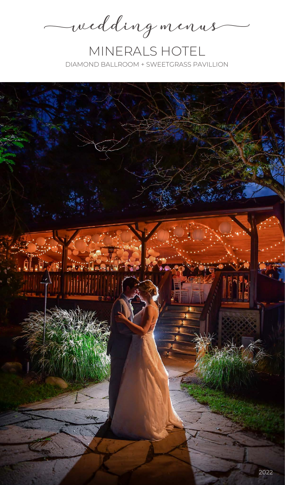wedding menus

MINERALS HOTEL DIAMOND BALLROOM + SWEETGRASS PAVILLION

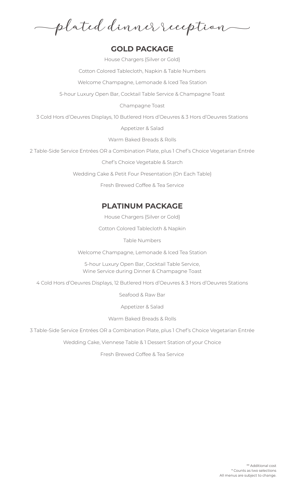plated dinner reception

## **GOLD PACKAGE**

House Chargers {Silver or Gold}

Cotton Colored Tablecloth, Napkin & Table Numbers

Welcome Champagne, Lemonade & Iced Tea Station

5-hour Luxury Open Bar, Cocktail Table Service & Champagne Toast

Champagne Toast

3 Cold Hors d'Oeuvres Displays, 10 Butlered Hors d'Oeuvres & 3 Hors d'Oeuvres Stations

Appetizer & Salad

Warm Baked Breads & Rolls

2 Table-Side Service Entrées OR a Combination Plate, plus 1 Chef's Choice Vegetarian Entrée

Chef's Choice Vegetable & Starch

Wedding Cake & Petit Four Presentation {On Each Table}

Fresh Brewed Coffee & Tea Service

# **PLATINUM PACKAGE**

House Chargers {Silver or Gold}

Cotton Colored Tablecloth & Napkin

Table Numbers

Welcome Champagne, Lemonade & Iced Tea Station

5-hour Luxury Open Bar, Cocktail Table Service, Wine Service during Dinner & Champagne Toast

4 Cold Hors d'Oeuvres Displays, 12 Butlered Hors d'Oeuvres & 3 Hors d'Oeuvres Stations

Seafood & Raw Bar

Appetizer & Salad

Warm Baked Breads & Rolls

3 Table-Side Service Entrées OR a Combination Plate, plus 1 Chef's Choice Vegetarian Entrée

Wedding Cake, Viennese Table & 1 Dessert Station of your Choice

Fresh Brewed Coffee & Tea Service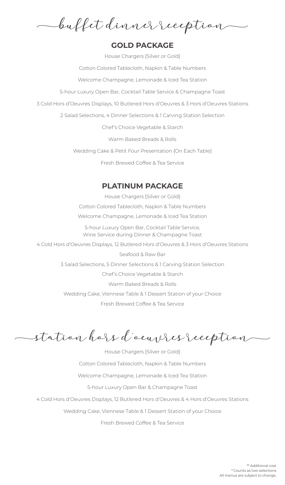buffet dinner reception

## **GOLD PACKAGE**

House Chargers {Silver or Gold} Cotton Colored Tablecloth, Napkin & Table Numbers

Welcome Champagne, Lemonade & Iced Tea Station

5-hour Luxury Open Bar, Cocktail Table Service & Champagne Toast

3 Cold Hors d'Oeuvres Displays, 10 Butlered Hors d'Oeuvres & 3 Hors d'Oeuvres Stations

2 Salad Selections, 4 Dinner Selections & 1 Carving Station Selection

Chef's Choice Vegetable & Starch

Warm Baked Breads & Rolls

Wedding Cake & Petit Four Presentation {On Each Table}

Fresh Brewed Coffee & Tea Service

# **PLATINUM PACKAGE**

House Chargers {Silver or Gold} Cotton Colored Tablecloth, Napkin & Table Numbers Welcome Champagne, Lemonade & Iced Tea Station

5-hour Luxury Open Bar, Cocktail Table Service, Wine Service during Dinner & Champagne Toast

4 Cold Hors d'Oeuvres Displays, 12 Butlered Hors d'Oeuvres & 3 Hors d'Oeuvres Stations

Seafood & Raw Bar 3 Salad Selections, 5 Dinner Selections & 1 Carving Station Selection Chef's Choice Vegetable & Starch Warm Baked Breads & Rolls Wedding Cake, Viennese Table & 1 Dessert Station of your Choice Fresh Brewed Coffee & Tea Service

station hors d'oeuvres reception

House Chargers {Silver or Gold} Cotton Colored Tablecloth, Napkin & Table Numbers Welcome Champagne, Lemonade & Iced Tea Station 5-hour Luxury Open Bar & Champagne Toast 4 Cold Hors d'Oeuvres Displays, 12 Butlered Hors d'Oeuvres & 4 Hors d'Oeuvres Stations Wedding Cake, Viennese Table & 1 Dessert Station of your Choice

Fresh Brewed Coffee & Tea Service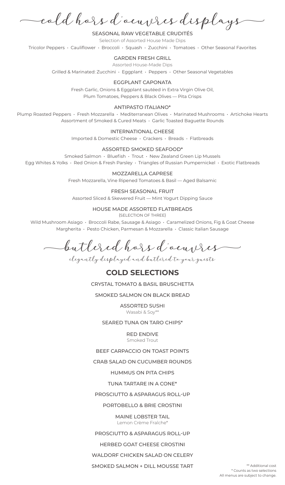cold hors d'oeuvres displays

SEASONAL RAW VEGETABLE CRUDITÉS Selection of Assorted House Made Dips Tricolor Peppers • Cauliflower • Broccoli • Squash • Zucchini • Tomatoes • Other Seasonal Favorites

#### GARDEN FRESH GRILL

Assorted House-Made Dips

Grilled & Marinated: Zucchini • Eggplant • Peppers • Other Seasonal Vegetables

#### EGGPLANT CAPONATA

Fresh Garlic, Onions & Eggplant sautéed in Extra Virgin Olive Oil, Plum Tomatoes, Peppers & Black Olives — Pita Crisps

#### ANTIPASTO ITALIANO\*

Plump Roasted Peppers · Fresh Mozzarella · Mediterranean Olives · Marinated Mushrooms · Artichoke Hearts Assortment of Smoked & Cured Meats • Garlic Toasted Baguette Rounds

#### INTERNATIONAL CHEESE

Imported & Domestic Cheese • Crackers • Breads • Flatbreads

## ASSORTED SMOKED SEAFOOD\*

Smoked Salmon • Bluefish • Trout • New Zealand Green Lip Mussels Egg Whites & Yolks • Red Onion & Fresh Parsley • Triangles of Russian Pumpernickel • Exotic Flatbreads

#### MOZZARELLA CAPRESE

Fresh Mozzarella, Vine Ripened Tomatoes & Basil — Aged Balsamic

#### FRESH SEASONAL FRUIT

Assorted Sliced & Skewered Fruit — Mint Yogurt Dipping Sauce

#### HOUSE MADE ASSORTED FLATBREADS

{SELECTION OF THREE}

Wild Mushroom Asiago • Broccoli Rabe, Sausage & Asiago • Caramelized Onions, Fig & Goat Cheese Margherita • Pesto Chicken, Parmesan & Mozzarella • Classic Italian Sausage

butlered hors d'oeuvres

elegantly displayed and butlered to your guests

## **COLD SELECTIONS**

CRYSTAL TOMATO & BASIL BRUSCHETTA

SMOKED SALMON ON BLACK BREAD

ASSORTED SUSHI Wasabi & Soy\*\*

SEARED TUNA ON TARO CHIPS\*

RED ENDIVE Smoked Trout

BEEF CARPACCIO ON TOAST POINTS

CRAB SALAD ON CUCUMBER ROUNDS

HUMMUS ON PITA CHIPS

TUNA TARTARE IN A CONE\*

PROSCIUTTO & ASPARAGUS ROLL-UP

PORTOBELLO & BRIE CROSTINI

MAINE LOBSTER TAIL Lemon Crème Fraîche\*

PROSCIUTTO & ASPARAGUS ROLL-UP

HERBED GOAT CHEESE CROSTINI

WALDORF CHICKEN SALAD ON CELERY

SMOKED SALMON + DILL MOUSSE TART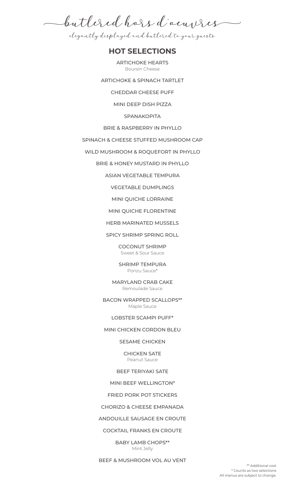butlered hors d'oeuvres

elegantly displayed and butlered to your guests

## **HOT SELECTIONS**

ARTICHOKE HEARTS Boursin Cheese

ARTICHOKE & SPINACH TARTLET

CHEDDAR CHEESE PUFF

MINI DEEP DISH PIZZA

SPANAKOPITA

BRIE & RASPBERRY IN PHYLLO

SPINACH & CHEESE STUFFED MUSHROOM CAP

WILD MUSHROOM & ROQUEFORT IN PHYLLO

BRIE & HONEY MUSTARD IN PHYLLO

ASIAN VEGETABLE TEMPURA

VEGETABLE DUMPLINGS

MINI QUICHE LORRAINE

MINI QUICHE FLORENTINE

HERB MARINATED MUSSELS

SPICY SHRIMP SPRING ROLL

COCONUT SHRIMP Sweet & Sour Sauce

SHRIMP TEMPURA Ponzu Sauce\*

MARYLAND CRAB CAKE Remoulade Sauce

BACON WRAPPED SCALLOPS\*\* Maple Sauce

#### LOBSTER SCAMPI PUFF\*

#### MINI CHICKEN CORDON BLEU

SESAME CHICKEN

CHICKEN SATE Peanut Sauce

## BEEF TERIYAKI SATE

MINI BEEF WELLINGTON\*

FRIED PORK POT STICKERS

## CHORIZO & CHEESE EMPANADA

## ANDOUILLE SAUSAGE EN CROUTE

COCKTAIL FRANKS EN CROUTE

BABY LAMB CHOPS\*\* Mint Jelly

BEEF & MUSHROOM VOL AU VENT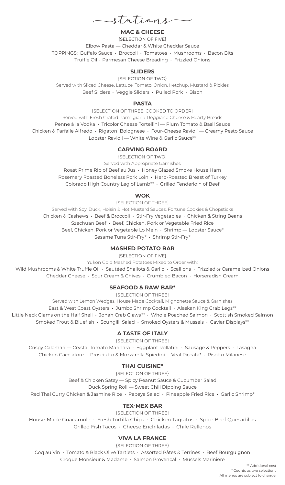stations

## **MAC & CHEESE**

{SELECTION OF FIVE} Elbow Pasta — Cheddar & White Cheddar Sauce TOPPINGS: Buffalo Sauce • Broccoli • Tomatoes • Mushrooms • Bacon Bits Truffle Oil • Parmesan Cheese Breading • Frizzled Onions

#### **SLIDERS**

{SELECTION OF TWO} Served with Sliced Cheese, Lettuce, Tomato, Onion, Ketchup, Mustard & Pickles Beef Sliders • Veggie Sliders • Pulled Pork • Bison

#### **PASTA**

{SELECTION OF THREE, COOKED TO ORDER} Served with Fresh Grated Parmigiano-Reggiano Cheese & Hearty Breads Penne à la Vodka • Tricolor Cheese Tortellini — Plum Tomato & Basil Sauce Chicken & Farfalle Alfredo • Rigatoni Bolognese • Four-Cheese Ravioli — Creamy Pesto Sauce Lobster Ravioli — White Wine & Garlic Sauce\*\*

## **CARVING BOARD**

{SELECTION OF TWO} Served with Appropriate Garnishes Roast Prime Rib of Beef au Jus • Honey Glazed Smoke House Ham Rosemary Roasted Boneless Pork Loin • Herb-Roasted Breast of Turkey Colorado High Country Leg of Lamb\*\* • Grilled Tenderloin of Beef

## **WOK**

{SELECTION OF THREE} Served with Soy, Duck, Hoisin & Hot Mustard Sauces, Fortune Cookies & Chopsticks Chicken & Cashews • Beef & Broccoli • Stir-Fry Vegetables • Chicken & String Beans Szechuan Beef • Beef, Chicken, Pork or Vegetable Fried Rice Beef, Chicken, Pork or Vegetable Lo Mein · Shrimp — Lobster Sauce\* Sesame Tuna Stir-Fry\* • Shrimp Stir-Fry\*

## **MASHED POTATO BAR**

{SELECTION OF FIVE}

Yukon Gold Mashed Potatoes Mixed to Order with:

Wild Mushrooms & White Truffle Oil • Sautéed Shallots & Garlic • Scallions • Frizzled or Caramelized Onions Cheddar Cheese • Sour Cream & Chives • Crumbled Bacon • Horseradish Cream

## **SEAFOOD & RAW BAR\***

{SELECTION OF THREE}

Served with Lemon Wedges, House Made Cocktail, Mignonette Sauce & Garnishes East & West Coast Oysters • Jumbo Shrimp Cocktail • Alaskan King Crab Legs\*\* Little Neck Clams on the Half Shell · Jonah Crab Claws\*\* · Whole Poached Salmon · Scottish Smoked Salmon Smoked Trout & Bluefish • Scungilli Salad • Smoked Oysters & Mussels • Caviar Displays\*\*

## **A TASTE OF ITALY**

{SELECTION OF THREE}

Crispy Calamari — Crystal Tomato Marinara • Eggplant Rollatini • Sausage & Peppers • Lasagna Chicken Cacciatore • Prosciutto & Mozzarella Spiedini • Veal Piccata\* • Risotto Milanese

## **THAI CUISINE\***

{SELECTION OF THREE} Beef & Chicken Satay — Spicy Peanut Sauce & Cucumber Salad Duck Spring Roll — Sweet Chili Dipping Sauce Red Thai Curry Chicken & Jasmine Rice · Papaya Salad · Pineapple Fried Rice · Garlic Shrimp\*

## **TEX-MEX BAR**

{SELECTION OF THREE} House-Made Guacamole • Fresh Tortilla Chips • Chicken Taquitos • Spice Beef Quesadillas Grilled Fish Tacos • Cheese Enchiladas • Chile Rellenos

## **VIVA LA FRANCE**

{SELECTION OF THREE}

Coq au Vin • Tomato & Black Olive Tartlets • Assorted Pâtes & Terrines • Beef Bourguignon Croque Monsieur & Madame • Salmon Provencal • Mussels Mariniere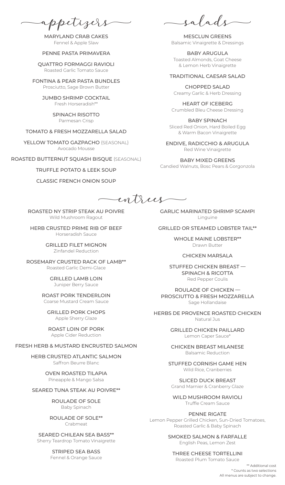appetizers

MARYLAND CRAB CAKES Fennel & Apple Slaw

#### PENNE PASTA PRIMAVERA

QUATTRO FORMAGGI RAVIOLI Roasted Garlic Tomato Sauce

FONTINA & PEAR PASTA BUNDLES Prosciutto, Sage Brown Butter

> JUMBO SHRIMP COCKTAIL Fresh Horseradish\*\*

> > SPINACH RISOTTO Parmesan Crisp

## TOMATO & FRESH MOZZARELLA SALAD

YELLOW TOMATO GAZPACHO {SEASONAL} Avocado Mousse

ROASTED BUTTERNUT SQUASH BISQUE {SEASONAL}

#### TRUFFLE POTATO & LEEK SOUP

CLASSIC FRENCH ONION SOUP

salads

MESCLUN GREENS Balsamic Vinaigrette & Dressings

BABY ARUGULA Toasted Almonds, Goat Cheese & Lemon Herb Vinaigrette

#### TRADITIONAL CAESAR SALAD

CHOPPED SALAD Creamy Garlic & Herb Dressing

HEART OF ICEBERG Crumbled Bleu Cheese Dressing

BABY SPINACH Sliced Red Onion, Hard Boiled Egg & Warm Bacon Vinaigrette

ENDIVE, RADICCHIO & ARUGULA Red Wine Vinaigrette

BABY MIXED GREENS Candied Walnuts, Bosc Pears & Gorgonzola

entrees

ROASTED NY STRIP STEAK AU POIVRE Wild Mushroom Ragout

HERB CRUSTED PRIME RIB OF BEEF Horseradish Sauce

> GRILLED FILET MIGNON Zinfandel Reduction

ROSEMARY CRUSTED RACK OF LAMB\*\* Roasted Garlic Demi-Glace

> GRILLED LAMB LOIN Juniper Berry Sauce

ROAST PORK TENDERLOIN Coarse Mustard Cream Sauce

GRILLED PORK CHOPS Apple Sherry Glaze

ROAST LOIN OF PORK Apple Cider Reduction

#### FRESH HERB & MUSTARD ENCRUSTED SALMON

HERB CRUSTED ATLANTIC SALMON Saffron Beurre Blanc

> OVEN ROASTED TILAPIA Pineapple & Mango Salsa

#### SEARED TUNA STEAK AU POIVRE\*\*

ROULADE OF SOLE Baby Spinach

ROULADE OF SOLE\*\* Crabmeat

SEARED CHILEAN SEA BASS\*\* Sherry Teardrop Tomato Vinaigrette

> STRIPED SEA BASS Fennel & Orange Sauce

GARLIC MARINATED SHRIMP SCAMPI Linguine

GRILLED OR STEAMED LOBSTER TAIL\*\*

WHOLE MAINE LOBSTER\*\* Drawn Butter

#### CHICKEN MARSALA

STUFFED CHICKEN BREAST — SPINACH & RICOTTA Red Pepper Coulis

ROULADE OF CHICKEN — PROSCIUTTO & FRESH MOZZARELLA Sage Hollandaise

HERBS DE PROVENCE ROASTED CHICKEN Natural Jus

> GRILLED CHICKEN PAILLARD Lemon Caper Sauce\*

> CHICKEN BREAST MILANESE Balsamic Reduction

STUFFED CORNISH GAME HEN Wild Rice, Cranberries

SLICED DUCK BREAST Grand Marnier & Cranberry Glaze

WILD MUSHROOM RAVIOLI Truffle Cream Sauce

PENNE RIGATE Lemon Pepper Grilled Chicken, Sun-Dried Tomatoes, Roasted Garlic & Baby Spinach

> SMOKED SALMON & FARFALLE English Peas, Lemon Zest

## THREE CHEESE TORTELLINI

Roasted Plum Tomato Sauce

\*\* Additional cost \* Counts as two selections All menus are subject to change.